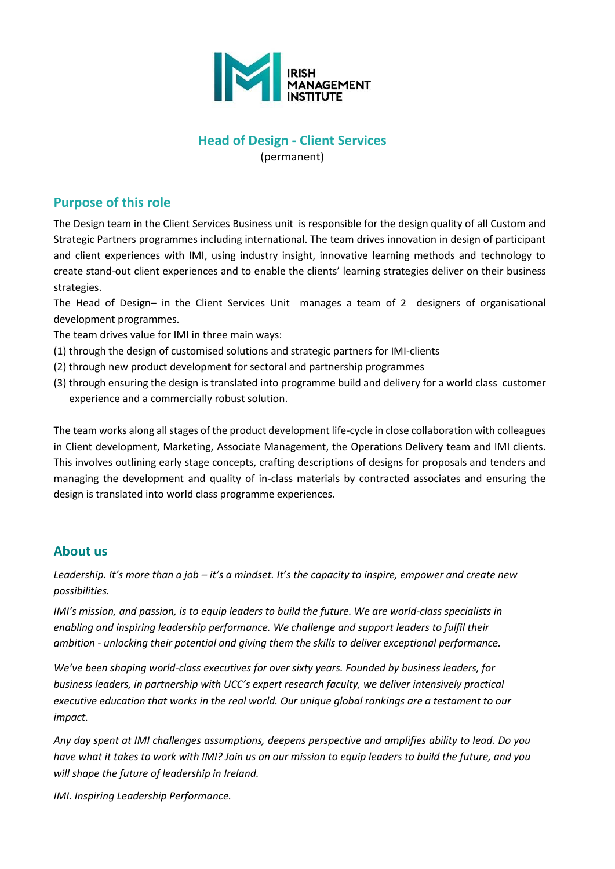

#### **Head of Design - Client Services** (permanent)

### **Purpose of this role**

The Design team in the Client Services Business unit is responsible for the design quality of all Custom and Strategic Partners programmes including international. The team drives innovation in design of participant and client experiences with IMI, using industry insight, innovative learning methods and technology to create stand-out client experiences and to enable the clients' learning strategies deliver on their business strategies.

The Head of Design– in the Client Services Unit manages a team of 2 designers of organisational development programmes.

The team drives value for IMI in three main ways:

- (1) through the design of customised solutions and strategic partners for IMI-clients
- (2) through new product development for sectoral and partnership programmes
- (3) through ensuring the design is translated into programme build and delivery for a world class customer experience and a commercially robust solution.

The team works along all stages of the product development life-cycle in close collaboration with colleagues in Client development, Marketing, Associate Management, the Operations Delivery team and IMI clients. This involves outlining early stage concepts, crafting descriptions of designs for proposals and tenders and managing the development and quality of in-class materials by contracted associates and ensuring the design is translated into world class programme experiences.

#### **About us**

*Leadership. It's more than a job – it's a mindset. It's the capacity to inspire, empower and create new possibilities.*

*IMI's mission, and passion, is to equip leaders to build the future. We are world-class specialists in enabling and inspiring leadership performance. We challenge and support leaders to fulfil their ambition - unlocking their potential and giving them the skills to deliver exceptional performance.*

*We've been shaping world-class executives for over sixty years. Founded by business leaders, for business leaders, in partnership with UCC's expert research faculty, we deliver intensively practical executive education that works in the real world. Our unique global rankings are a testament to our impact.*

*Any day spent at IMI challenges assumptions, deepens perspective and amplifies ability to lead. Do you have what it takes to work with IMI? Join us on our mission to equip leaders to build the future, and you will shape the future of leadership in Ireland.*

*IMI. Inspiring Leadership Performance.*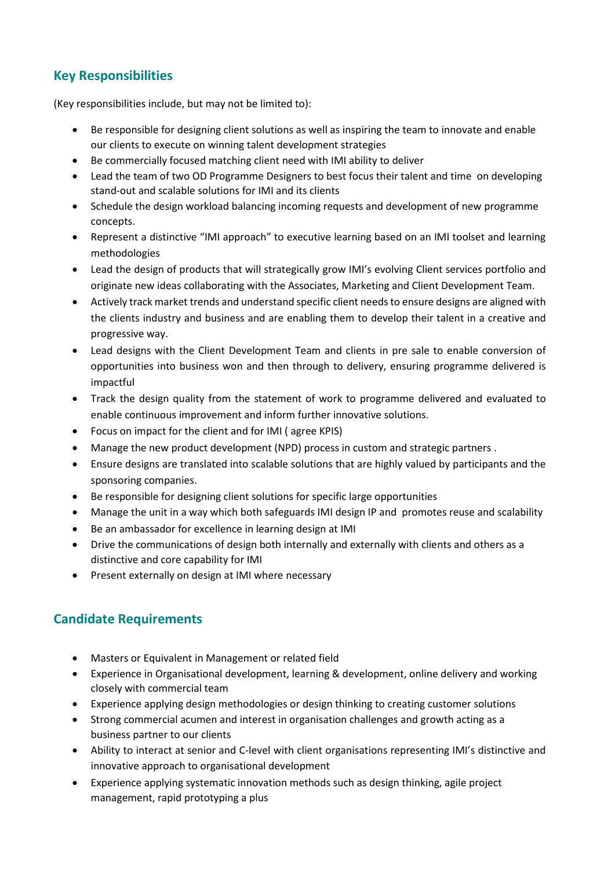# **Key Responsibilities**

(Key responsibilities include, but may not be limited to):

- Be responsible for designing client solutions as well as inspiring the team to innovate and enable our clients to execute on winning talent development strategies
- Be commercially focused matching client need with IMI ability to deliver
- Lead the team of two OD Programme Designers to best focus their talent and time on developing stand-out and scalable solutions for IMI and its clients
- Schedule the design workload balancing incoming requests and development of new programme concepts.
- Represent a distinctive "IMI approach" to executive learning based on an IMI toolset and learning methodologies
- Lead the design of products that will strategically grow IMI's evolving Client services portfolio and originate new ideas collaborating with the Associates, Marketing and Client Development Team.
- Actively track market trends and understand specific client needs to ensure designs are aligned with the clients industry and business and are enabling them to develop their talent in a creative and progressive way.
- Lead designs with the Client Development Team and clients in pre sale to enable conversion of opportunities into business won and then through to delivery, ensuring programme delivered is impactful
- Track the design quality from the statement of work to programme delivered and evaluated to enable continuous improvement and inform further innovative solutions.
- Focus on impact for the client and for IMI ( agree KPIS)
- Manage the new product development (NPD) process in custom and strategic partners .
- Ensure designs are translated into scalable solutions that are highly valued by participants and the sponsoring companies.
- Be responsible for designing client solutions for specific large opportunities
- Manage the unit in a way which both safeguards IMI design IP and promotes reuse and scalability
- Be an ambassador for excellence in learning design at IMI
- Drive the communications of design both internally and externally with clients and others as a distinctive and core capability for IMI
- Present externally on design at IMI where necessary

## **Candidate Requirements**

- Masters or Equivalent in Management or related field
- Experience in Organisational development, learning & development, online delivery and working closely with commercial team
- Experience applying design methodologies or design thinking to creating customer solutions
- Strong commercial acumen and interest in organisation challenges and growth acting as a business partner to our clients
- Ability to interact at senior and C-level with client organisations representing IMI's distinctive and innovative approach to organisational development
- Experience applying systematic innovation methods such as design thinking, agile project management, rapid prototyping a plus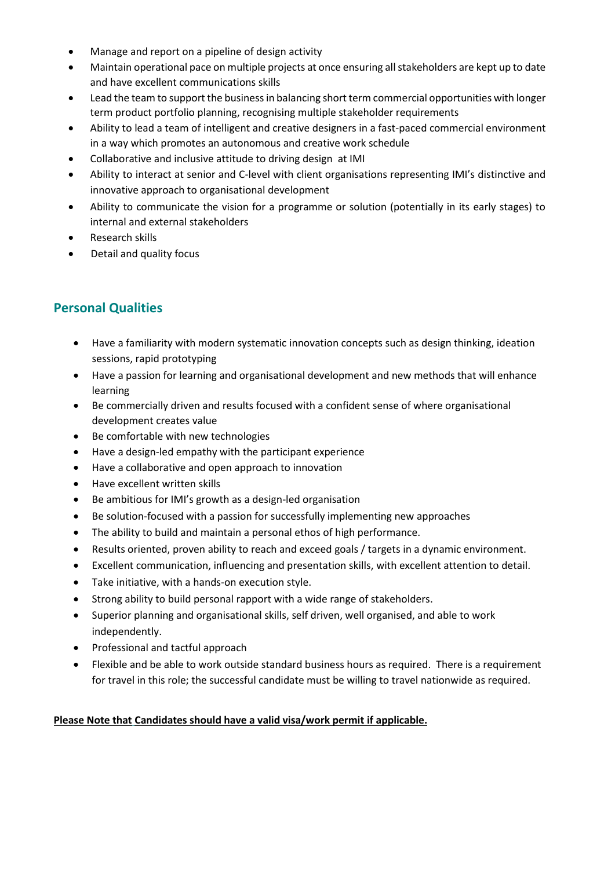- Manage and report on a pipeline of design activity
- Maintain operational pace on multiple projects at once ensuring all stakeholders are kept up to date and have excellent communications skills
- Lead the team to support the business in balancing short term commercial opportunities with longer term product portfolio planning, recognising multiple stakeholder requirements
- Ability to lead a team of intelligent and creative designers in a fast-paced commercial environment in a way which promotes an autonomous and creative work schedule
- Collaborative and inclusive attitude to driving design at IMI
- Ability to interact at senior and C-level with client organisations representing IMI's distinctive and innovative approach to organisational development
- Ability to communicate the vision for a programme or solution (potentially in its early stages) to internal and external stakeholders
- Research skills
- Detail and quality focus

## **Personal Qualities**

- Have a familiarity with modern systematic innovation concepts such as design thinking, ideation sessions, rapid prototyping
- Have a passion for learning and organisational development and new methods that will enhance learning
- Be commercially driven and results focused with a confident sense of where organisational development creates value
- Be comfortable with new technologies
- Have a design-led empathy with the participant experience
- Have a collaborative and open approach to innovation
- Have excellent written skills
- Be ambitious for IMI's growth as a design-led organisation
- Be solution-focused with a passion for successfully implementing new approaches
- The ability to build and maintain a personal ethos of high performance.
- Results oriented, proven ability to reach and exceed goals / targets in a dynamic environment.
- Excellent communication, influencing and presentation skills, with excellent attention to detail.
- Take initiative, with a hands-on execution style.
- Strong ability to build personal rapport with a wide range of stakeholders.
- Superior planning and organisational skills, self driven, well organised, and able to work independently.
- Professional and tactful approach
- Flexible and be able to work outside standard business hours as required. There is a requirement for travel in this role; the successful candidate must be willing to travel nationwide as required.

#### **Please Note that Candidates should have a valid visa/work permit if applicable.**